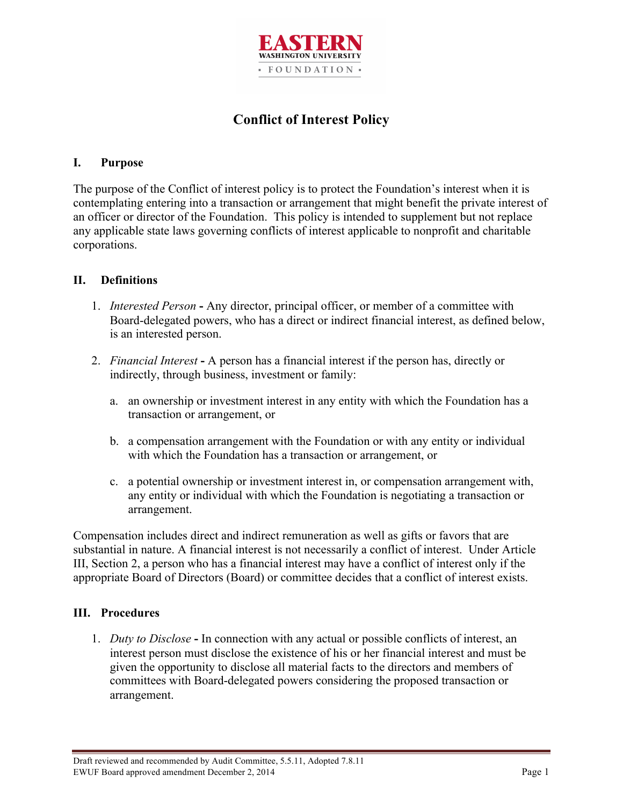

# **Conflict of Interest Policy**

## **I. Purpose**

The purpose of the Conflict of interest policy is to protect the Foundation's interest when it is contemplating entering into a transaction or arrangement that might benefit the private interest of an officer or director of the Foundation. This policy is intended to supplement but not replace any applicable state laws governing conflicts of interest applicable to nonprofit and charitable corporations.

#### **II. Definitions**

- 1. *Interested Person* **-** Any director, principal officer, or member of a committee with Board-delegated powers, who has a direct or indirect financial interest, as defined below, is an interested person.
- 2. *Financial Interest* **-** A person has a financial interest if the person has, directly or indirectly, through business, investment or family:
	- a. an ownership or investment interest in any entity with which the Foundation has a transaction or arrangement, or
	- b. a compensation arrangement with the Foundation or with any entity or individual with which the Foundation has a transaction or arrangement, or
	- c. a potential ownership or investment interest in, or compensation arrangement with, any entity or individual with which the Foundation is negotiating a transaction or arrangement.

Compensation includes direct and indirect remuneration as well as gifts or favors that are substantial in nature. A financial interest is not necessarily a conflict of interest. Under Article III, Section 2, a person who has a financial interest may have a conflict of interest only if the appropriate Board of Directors (Board) or committee decides that a conflict of interest exists.

### **III. Procedures**

1. *Duty to Disclose* **-** In connection with any actual or possible conflicts of interest, an interest person must disclose the existence of his or her financial interest and must be given the opportunity to disclose all material facts to the directors and members of committees with Board-delegated powers considering the proposed transaction or arrangement.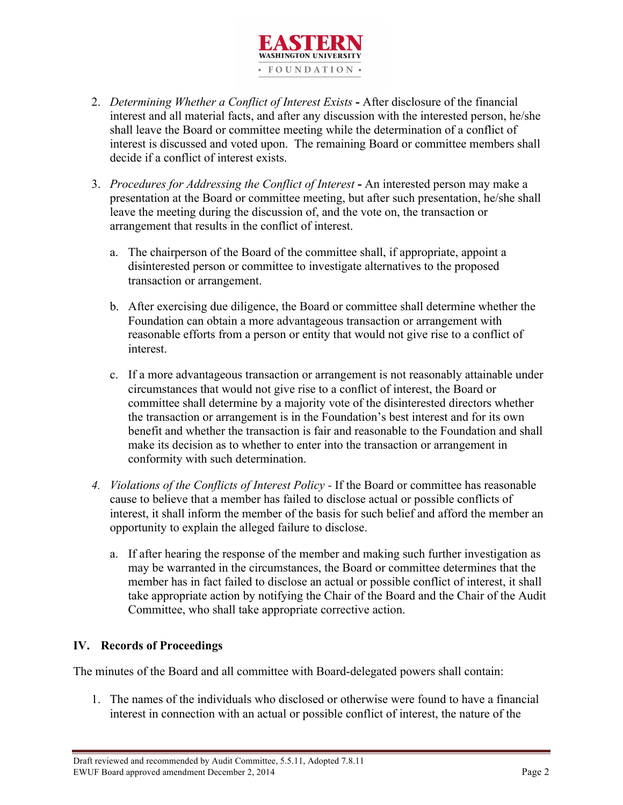

- 2. *Determining Whether a Conflict of Interest Exists* **-** After disclosure of the financial interest and all material facts, and after any discussion with the interested person, he/she shall leave the Board or committee meeting while the determination of a conflict of interest is discussed and voted upon. The remaining Board or committee members shall decide if a conflict of interest exists.
- 3. *Procedures for Addressing the Conflict of Interest* **-** An interested person may make a presentation at the Board or committee meeting, but after such presentation, he/she shall leave the meeting during the discussion of, and the vote on, the transaction or arrangement that results in the conflict of interest.
	- a. The chairperson of the Board of the committee shall, if appropriate, appoint a disinterested person or committee to investigate alternatives to the proposed transaction or arrangement.
	- b. After exercising due diligence, the Board or committee shall determine whether the Foundation can obtain a more advantageous transaction or arrangement with reasonable efforts from a person or entity that would not give rise to a conflict of interest.
	- c. If a more advantageous transaction or arrangement is not reasonably attainable under circumstances that would not give rise to a conflict of interest, the Board or committee shall determine by a majority vote of the disinterested directors whether the transaction or arrangement is in the Foundation's best interest and for its own benefit and whether the transaction is fair and reasonable to the Foundation and shall make its decision as to whether to enter into the transaction or arrangement in conformity with such determination.
- *4. Violations of the Conflicts of Interest Policy -* If the Board or committee has reasonable cause to believe that a member has failed to disclose actual or possible conflicts of interest, it shall inform the member of the basis for such belief and afford the member an opportunity to explain the alleged failure to disclose.
	- a. If after hearing the response of the member and making such further investigation as may be warranted in the circumstances, the Board or committee determines that the member has in fact failed to disclose an actual or possible conflict of interest, it shall take appropriate action by notifying the Chair of the Board and the Chair of the Audit Committee, who shall take appropriate corrective action.

# **IV. Records of Proceedings**

The minutes of the Board and all committee with Board-delegated powers shall contain:

1. The names of the individuals who disclosed or otherwise were found to have a financial interest in connection with an actual or possible conflict of interest, the nature of the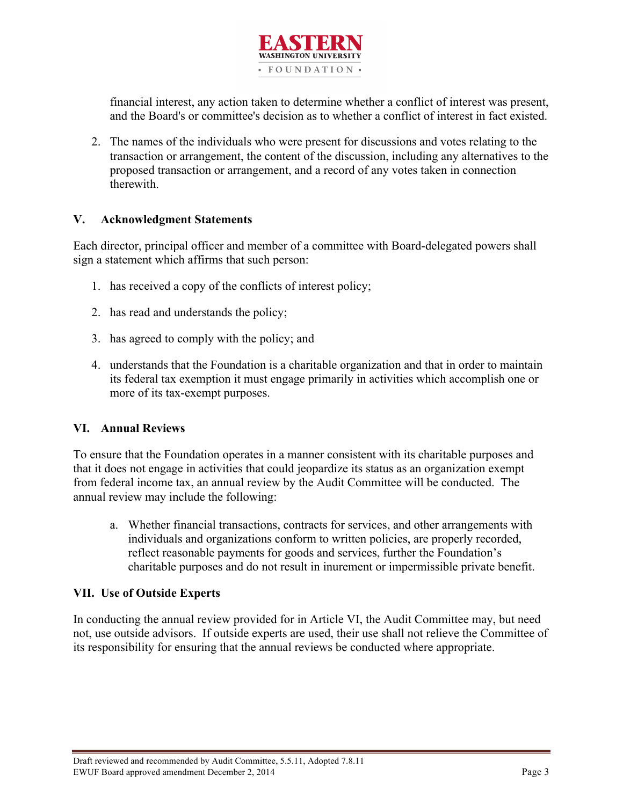

financial interest, any action taken to determine whether a conflict of interest was present, and the Board's or committee's decision as to whether a conflict of interest in fact existed.

2. The names of the individuals who were present for discussions and votes relating to the transaction or arrangement, the content of the discussion, including any alternatives to the proposed transaction or arrangement, and a record of any votes taken in connection therewith.

#### **V. Acknowledgment Statements**

Each director, principal officer and member of a committee with Board-delegated powers shall sign a statement which affirms that such person:

- 1. has received a copy of the conflicts of interest policy;
- 2. has read and understands the policy;
- 3. has agreed to comply with the policy; and
- 4. understands that the Foundation is a charitable organization and that in order to maintain its federal tax exemption it must engage primarily in activities which accomplish one or more of its tax-exempt purposes.

#### **VI. Annual Reviews**

To ensure that the Foundation operates in a manner consistent with its charitable purposes and that it does not engage in activities that could jeopardize its status as an organization exempt from federal income tax, an annual review by the Audit Committee will be conducted. The annual review may include the following:

a. Whether financial transactions, contracts for services, and other arrangements with individuals and organizations conform to written policies, are properly recorded, reflect reasonable payments for goods and services, further the Foundation's charitable purposes and do not result in inurement or impermissible private benefit.

#### **VII. Use of Outside Experts**

In conducting the annual review provided for in Article VI, the Audit Committee may, but need not, use outside advisors. If outside experts are used, their use shall not relieve the Committee of its responsibility for ensuring that the annual reviews be conducted where appropriate.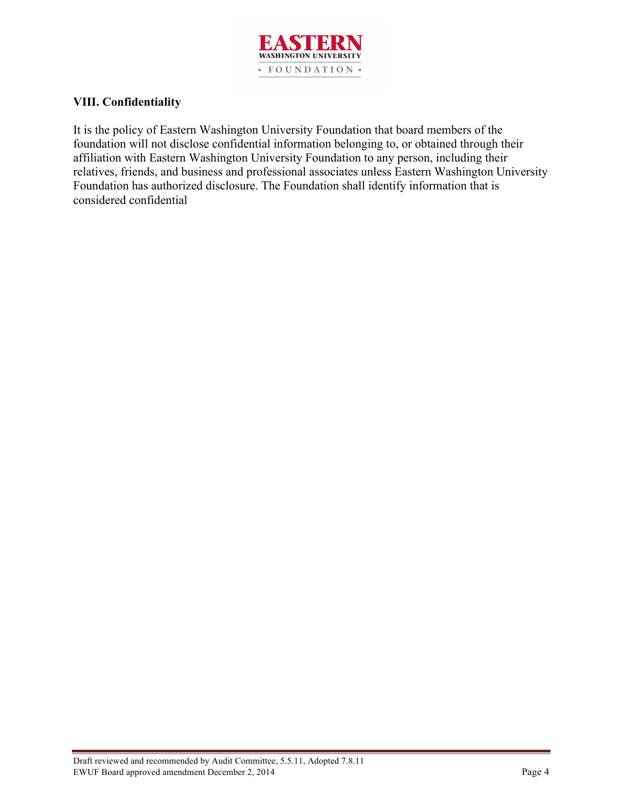

### **VIII. Confidentiality**

It is the policy of Eastern Washington University Foundation that board members of the foundation will not disclose confidential information belonging to, or obtained through their affiliation with Eastern Washington University Foundation to any person, including their relatives, friends, and business and professional associates unless Eastern Washington University Foundation has authorized disclosure. The Foundation shall identify information that is considered confidential